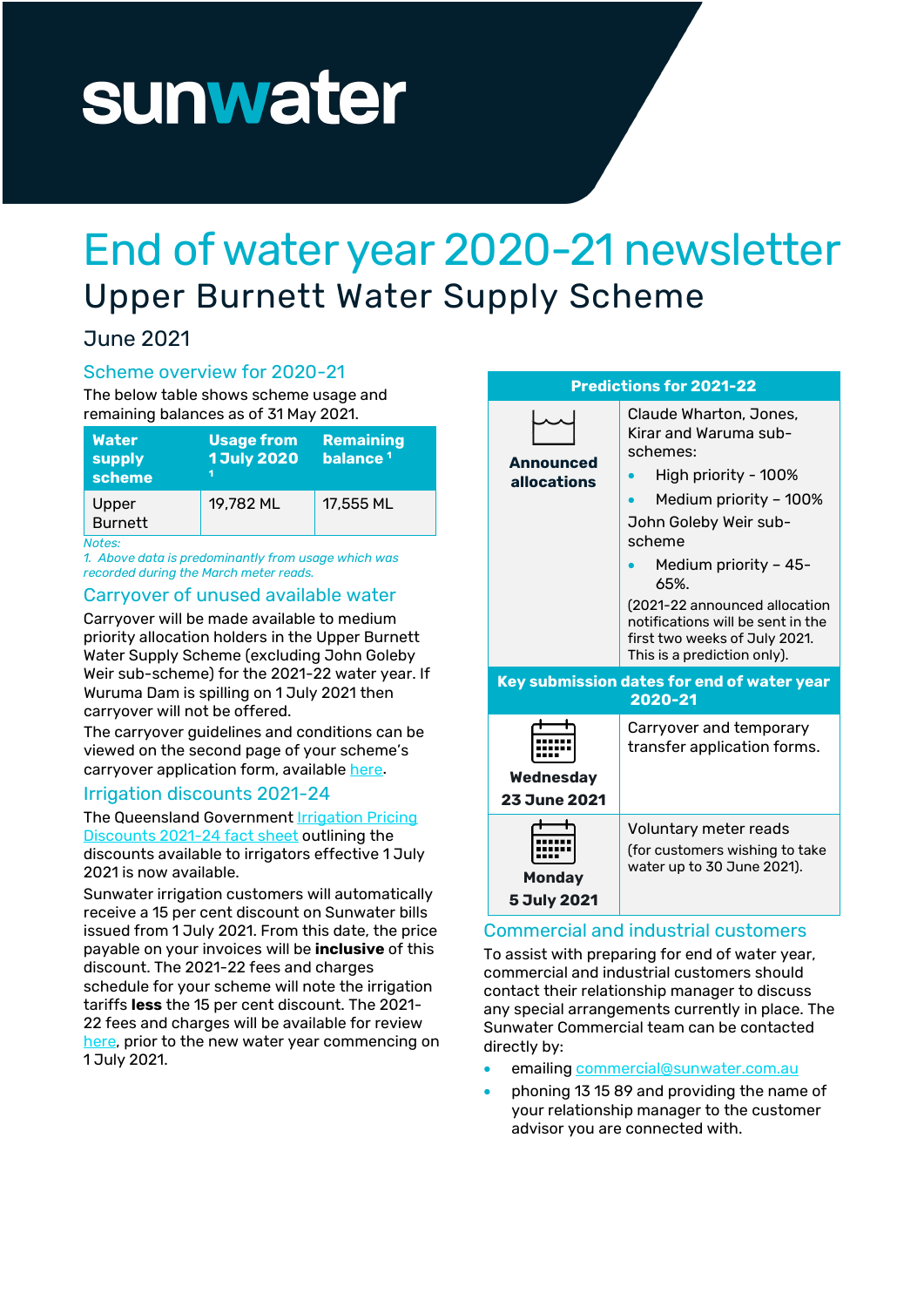# sunwater

# End of water year 2020-21 newsletter Upper Burnett Water Supply Scheme

# June 2021

### Scheme overview for 2020-21

The below table shows scheme usage and remaining balances as of 31 May 2021.

| <b>Water</b><br>supply<br>scheme | <b>Usage from</b><br><b>1 July 2020</b> | <b>Remaining</b><br>balance <sup>1</sup> |
|----------------------------------|-----------------------------------------|------------------------------------------|
| Upper<br><b>Burnett</b>          | 19,782 ML                               | 17,555 ML                                |
| $N = 4 - 4$                      |                                         |                                          |

*Notes:*

*1. Above data is predominantly from usage which was recorded during the March meter reads.* 

#### Carryover of unused available water

Carryover will be made available to medium priority allocation holders in the Upper Burnett Water Supply Scheme (excluding John Goleby Weir sub-scheme) for the 2021-22 water year. If Wuruma Dam is spilling on 1 July 2021 then carryover will not be offered.

The carryover guidelines and conditions can be viewed on the second page of your scheme's carryover application form, availabl[e here.](https://www.sunwater.com.au/customer/forms/)

#### Irrigation discounts 2021-24

#### The Queensland Government Irrigation Pricing

[Discounts 2021-24 fact sheet](https://www.sunwater.com.au/wp-content/uploads/Home/Customer/Fees-Charges/QGOV_Irrigation%20Pricing%20Discounts%202021-24_Fact%20sheet_14062021.pdf) outlining the discounts available to irrigators effective 1 July 2021 is now available.

Sunwater irrigation customers will automatically receive a 15 per cent discount on Sunwater bills issued from 1 July 2021. From this date, the price payable on your invoices will be **inclusive** of this discount. The 2021-22 fees and charges schedule for your scheme will note the irrigation tariffs **less** the 15 per cent discount. The 2021- 22 fees and charges will be available for review [here,](https://www.sunwater.com.au/customer/fees-and-charges/) prior to the new water year commencing on 1 July 2021.



## Commercial and industrial customers

To assist with preparing for end of water year, commercial and industrial customers should contact their relationship manager to discuss any special arrangements currently in place. The Sunwater Commercial team can be contacted directly by:

- emailing [commercial@sunwater.com.au](mailto:commercial@sunwater.com.au)
- phoning 13 15 89 and providing the name of your relationship manager to the customer advisor you are connected with.